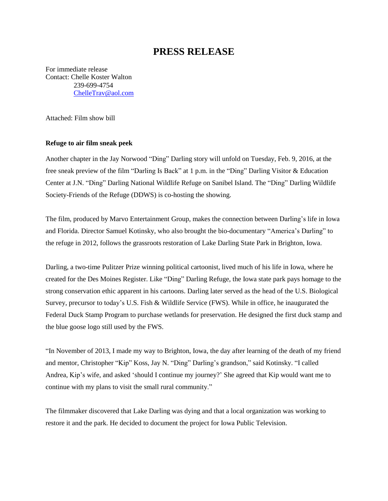## **PRESS RELEASE**

For immediate release Contact: Chelle Koster Walton 239-699-4754 [ChelleTrav@aol.com](mailto:ChelleTrav@aol.com)

Attached: Film show bill

## **Refuge to air film sneak peek**

Another chapter in the Jay Norwood "Ding" Darling story will unfold on Tuesday, Feb. 9, 2016, at the free sneak preview of the film "Darling Is Back" at 1 p.m. in the "Ding" Darling Visitor & Education Center at J.N. "Ding" Darling National Wildlife Refuge on Sanibel Island. The "Ding" Darling Wildlife Society-Friends of the Refuge (DDWS) is co-hosting the showing.

The film, produced by Marvo Entertainment Group, makes the connection between Darling's life in Iowa and Florida. Director Samuel Kotinsky, who also brought the bio-documentary "America's Darling" to the refuge in 2012, follows the grassroots restoration of Lake Darling State Park in Brighton, Iowa.

Darling, a two-time Pulitzer Prize winning political cartoonist, lived much of his life in Iowa, where he created for the Des Moines Register. Like "Ding" Darling Refuge, the Iowa state park pays homage to the strong conservation ethic apparent in his cartoons. Darling later served as the head of the U.S. Biological Survey, precursor to today's U.S. Fish & Wildlife Service (FWS). While in office, he inaugurated the Federal Duck Stamp Program to purchase wetlands for preservation. He designed the first duck stamp and the blue goose logo still used by the FWS.

"In November of 2013, I made my way to Brighton, Iowa, the day after learning of the death of my friend and mentor, Christopher "Kip" Koss, Jay N. "Ding" Darling's grandson," said Kotinsky. "I called Andrea, Kip's wife, and asked 'should I continue my journey?' She agreed that Kip would want me to continue with my plans to visit the small rural community."

The filmmaker discovered that Lake Darling was dying and that a local organization was working to restore it and the park. He decided to document the project for Iowa Public Television.